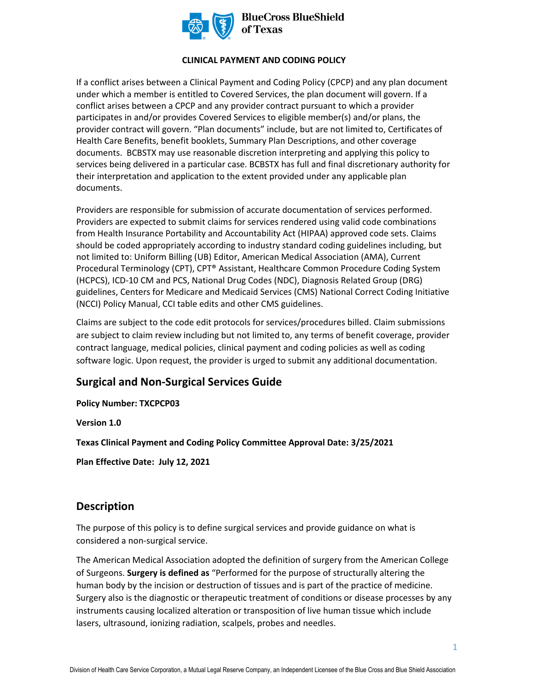

**BlueCross BlueShield** of Texas

#### **CLINICAL PAYMENT AND CODING POLICY**

If a conflict arises between a Clinical Payment and Coding Policy (CPCP) and any plan document under which a member is entitled to Covered Services, the plan document will govern. If a conflict arises between a CPCP and any provider contract pursuant to which a provider participates in and/or provides Covered Services to eligible member(s) and/or plans, the provider contract will govern. "Plan documents" include, but are not limited to, Certificates of Health Care Benefits, benefit booklets, Summary Plan Descriptions, and other coverage documents. BCBSTX may use reasonable discretion interpreting and applying this policy to services being delivered in a particular case. BCBSTX has full and final discretionary authority for their interpretation and application to the extent provided under any applicable plan documents.

Providers are responsible for submission of accurate documentation of services performed. Providers are expected to submit claims for services rendered using valid code combinations from Health Insurance Portability and Accountability Act (HIPAA) approved code sets. Claims should be coded appropriately according to industry standard coding guidelines including, but not limited to: Uniform Billing (UB) Editor, American Medical Association (AMA), Current Procedural Terminology (CPT), CPT® Assistant, Healthcare Common Procedure Coding System (HCPCS), ICD-10 CM and PCS, National Drug Codes (NDC), Diagnosis Related Group (DRG) guidelines, Centers for Medicare and Medicaid Services (CMS) National Correct Coding Initiative (NCCI) Policy Manual, CCI table edits and other CMS guidelines.

Claims are subject to the code edit protocols for services/procedures billed. Claim submissions are subject to claim review including but not limited to, any terms of benefit coverage, provider contract language, medical policies, clinical payment and coding policies as well as coding software logic. Upon request, the provider is urged to submit any additional documentation.

# **Surgical and Non-Surgical Services Guide**

**Policy Number: TXCPCP03** 

**Version 1.0** 

**Texas Clinical Payment and Coding Policy Committee Approval Date: 3/25/2021** 

**Plan Effective Date: July 12, 2021**

## **Description**

The purpose of this policy is to define surgical services and provide guidance on what is considered a non-surgical service.

The American Medical Association adopted the definition of surgery from the American College of Surgeons. **Surgery is defined as** "Performed for the purpose of structurally altering the human body by the incision or destruction of tissues and is part of the practice of medicine. Surgery also is the diagnostic or therapeutic treatment of conditions or disease processes by any instruments causing localized alteration or transposition of live human tissue which include lasers, ultrasound, ionizing radiation, scalpels, probes and needles.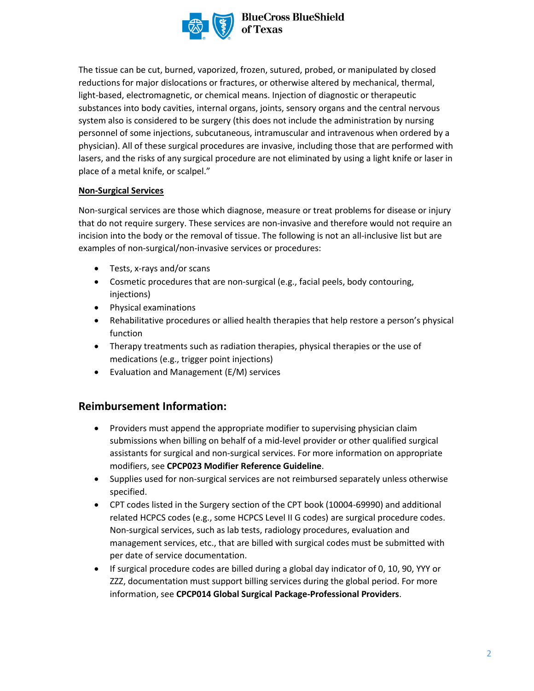

**BlueCross BlueShield** 

The tissue can be cut, burned, vaporized, frozen, sutured, probed, or manipulated by closed reductions for major dislocations or fractures, or otherwise altered by mechanical, thermal, light-based, electromagnetic, or chemical means. Injection of diagnostic or therapeutic substances into body cavities, internal organs, joints, sensory organs and the central nervous system also is considered to be surgery (this does not include the administration by nursing personnel of some injections, subcutaneous, intramuscular and intravenous when ordered by a physician). All of these surgical procedures are invasive, including those that are performed with lasers, and the risks of any surgical procedure are not eliminated by using a light knife or laser in place of a metal knife, or scalpel."

#### **Non-Surgical Services**

Non-surgical services are those which diagnose, measure or treat problems for disease or injury that do not require surgery. These services are non-invasive and therefore would not require an incision into the body or the removal of tissue. The following is not an all-inclusive list but are examples of non-surgical/non-invasive services or procedures:

- Tests, x-rays and/or scans
- Cosmetic procedures that are non-surgical (e.g., facial peels, body contouring, injections)
- Physical examinations
- Rehabilitative procedures or allied health therapies that help restore a person's physical function
- Therapy treatments such as radiation therapies, physical therapies or the use of medications (e.g., trigger point injections)
- Evaluation and Management (E/M) services

## **Reimbursement Information:**

- Providers must append the appropriate modifier to supervising physician claim submissions when billing on behalf of a mid-level provider or other qualified surgical assistants for surgical and non-surgical services. For more information on appropriate modifiers, see **CPCP023 Modifier Reference Guideline**.
- Supplies used for non-surgical services are not reimbursed separately unless otherwise specified.
- CPT codes listed in the Surgery section of the CPT book (10004-69990) and additional related HCPCS codes (e.g., some HCPCS Level II G codes) are surgical procedure codes. Non-surgical services, such as lab tests, radiology procedures, evaluation and management services, etc., that are billed with surgical codes must be submitted with per date of service documentation.
- If surgical procedure codes are billed during a global day indicator of 0, 10, 90, YYY or ZZZ, documentation must support billing services during the global period. For more information, see **CPCP014 Global Surgical Package-Professional Providers**.